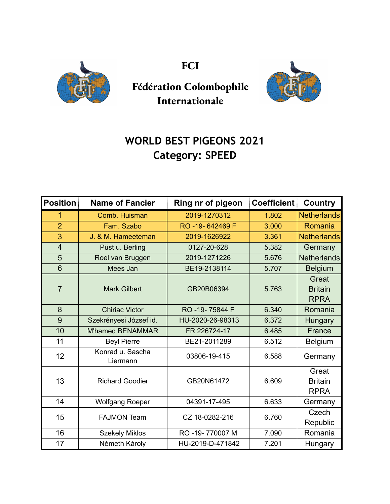

**FCI**



## **Fédération Colombophile Internationale**

## **WORLD BEST PIGEONS 2021 Category: SPEED**

| <b>Position</b> | <b>Name of Fancier</b>       | Ring nr of pigeon | <b>Coefficient</b> | <b>Country</b>                         |
|-----------------|------------------------------|-------------------|--------------------|----------------------------------------|
| 1               | Comb. Huisman                | 2019-1270312      | 1.802              | <b>Netherlands</b>                     |
| $\overline{2}$  | Fam. Szabo                   | RO-19-642469 F    | 3.000              | Romania                                |
| 3               | J. & M. Hameeteman           | 2019-1626922      | 3.361              | <b>Netherlands</b>                     |
| $\overline{4}$  | Püst u. Berling              | 0127-20-628       | 5.382              | Germany                                |
| 5               | Roel van Bruggen             | 2019-1271226      | 5.676              | <b>Netherlands</b>                     |
| $6\phantom{1}$  | Mees Jan                     | BE19-2138114      | 5.707              | <b>Belgium</b>                         |
| $\overline{7}$  | <b>Mark Gilbert</b>          | GB20B06394        | 5.763              | Great<br><b>Britain</b><br><b>RPRA</b> |
| 8               | <b>Chiriac Victor</b>        | RO -19-75844 F    | 6.340              | Romania                                |
| 9               | Szekrényesi József id.       | HU-2020-26-98313  | 6.372              | Hungary                                |
| 10              | <b>M'hamed BENAMMAR</b>      | FR 226724-17      | 6.485              | France                                 |
| 11              | <b>Beyl Pierre</b>           | BE21-2011289      | 6.512              | <b>Belgium</b>                         |
| 12              | Konrad u. Sascha<br>Liermann | 03806-19-415      | 6.588              | Germany                                |
| 13              | <b>Richard Goodier</b>       | GB20N61472        | 6.609              | Great<br><b>Britain</b><br><b>RPRA</b> |
| 14              | <b>Wolfgang Roeper</b>       | 04391-17-495      | 6.633              | Germany                                |
| 15              | <b>FAJMON Team</b>           | CZ 18-0282-216    | 6.760              | Czech<br>Republic                      |
| 16              | <b>Szekely Miklos</b>        | RO -19-770007 M   | 7.090              | Romania                                |
| 17              | Németh Károly                | HU-2019-D-471842  | 7.201              | Hungary                                |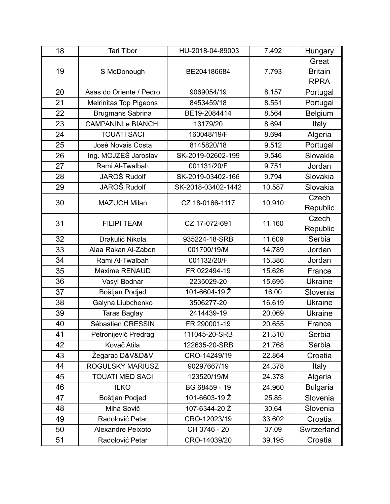| 18 | Tari Tibor                 | HU-2018-04-89003   | 7.492  | Hungary         |
|----|----------------------------|--------------------|--------|-----------------|
| 19 | S McDonough                | BE204186684        | 7.793  | Great           |
|    |                            |                    |        | <b>Britain</b>  |
|    |                            |                    |        | <b>RPRA</b>     |
| 20 | Asas do Oriente / Pedro    | 9069054/19         | 8.157  | Portugal        |
| 21 | Melrinitas Top Pigeons     | 8453459/18         | 8.551  | Portugal        |
| 22 | Brugmans Sabrina           | BE19-2084414       | 8.564  | Belgium         |
| 23 | <b>CAMPANINI e BIANCHI</b> | 13179/20           | 8.694  | Italy           |
| 24 | <b>TOUATI SACI</b>         | 160048/19/F        | 8.694  | Algeria         |
| 25 | José Novais Costa          | 8145820/18         | 9.512  | Portugal        |
| 26 | Ing. MOJZEŠ Jaroslav       | SK-2019-02602-199  | 9.546  | Slovakia        |
| 27 | Rami Al-Twalbah            | 001131/20/F        | 9.751  | Jordan          |
| 28 | <b>JAROŠ Rudolf</b>        | SK-2019-03402-166  | 9.794  | Slovakia        |
| 29 | JAROŠ Rudolf               | SK-2018-03402-1442 | 10.587 | Slovakia        |
| 30 | <b>MAZUCH Milan</b>        | CZ 18-0166-1117    | 10.910 | Czech           |
|    |                            |                    |        | Republic        |
| 31 | <b>FILIPI TEAM</b>         | CZ 17-072-691      | 11.160 | Czech           |
|    |                            |                    |        | Republic        |
| 32 | Drakulić Nikola            | 935224-18-SRB      | 11.609 | Serbia          |
| 33 | Alaa Rakan Al-Zaben        | 001700/19/M        | 14.789 | Jordan          |
| 34 | Rami Al-Twalbah            | 001132/20/F        | 15.386 | Jordan          |
| 35 | <b>Maxime RENAUD</b>       | FR 022494-19       | 15.626 | France          |
| 36 | Vasyl Bodnar               | 2235029-20         | 15.695 | <b>Ukraine</b>  |
| 37 | Boštjan Podjed             | 101-6604-19 Ž      | 16.00  | Slovenia        |
| 38 | Galyna Liubchenko          | 3506277-20         | 16.619 | <b>Ukraine</b>  |
| 39 | <b>Taras Baglay</b>        | 2414439-19         | 20.069 | <b>Ukraine</b>  |
| 40 | Sébastien CRESSIN          | FR 290001-19       | 20.655 | France          |
| 41 | Petronijević Predrag       | 111045-20-SRB      | 21.310 | Serbia          |
| 42 | Kovač Atila                | 122635-20-SRB      | 21.768 | Serbia          |
| 43 | Žegarac D&V&D&V            | CRO-14249/19       | 22.864 | Croatia         |
| 44 | ROGULSKY MARIUSZ           | 90297667/19        | 24.378 | Italy           |
| 45 | <b>TOUATI MED SACI</b>     | 123520/19/M        | 24.378 | Algeria         |
| 46 | <b>ILKO</b>                | BG 68459 - 19      | 24.960 | <b>Bulgaria</b> |
| 47 | Boštjan Podjed             | 101-6603-19 Ž      | 25.85  | Slovenia        |
| 48 | Miha Sovič                 | 107-6344-20 Ž      | 30.64  | Slovenia        |
| 49 | Radolović Petar            | CRO-12023/19       | 33.602 | Croatia         |
| 50 | Alexandre Peixoto          | CH 3746 - 20       | 37.09  | Switzerland     |
| 51 | Radolović Petar            | CRO-14039/20       | 39.195 | Croatia         |